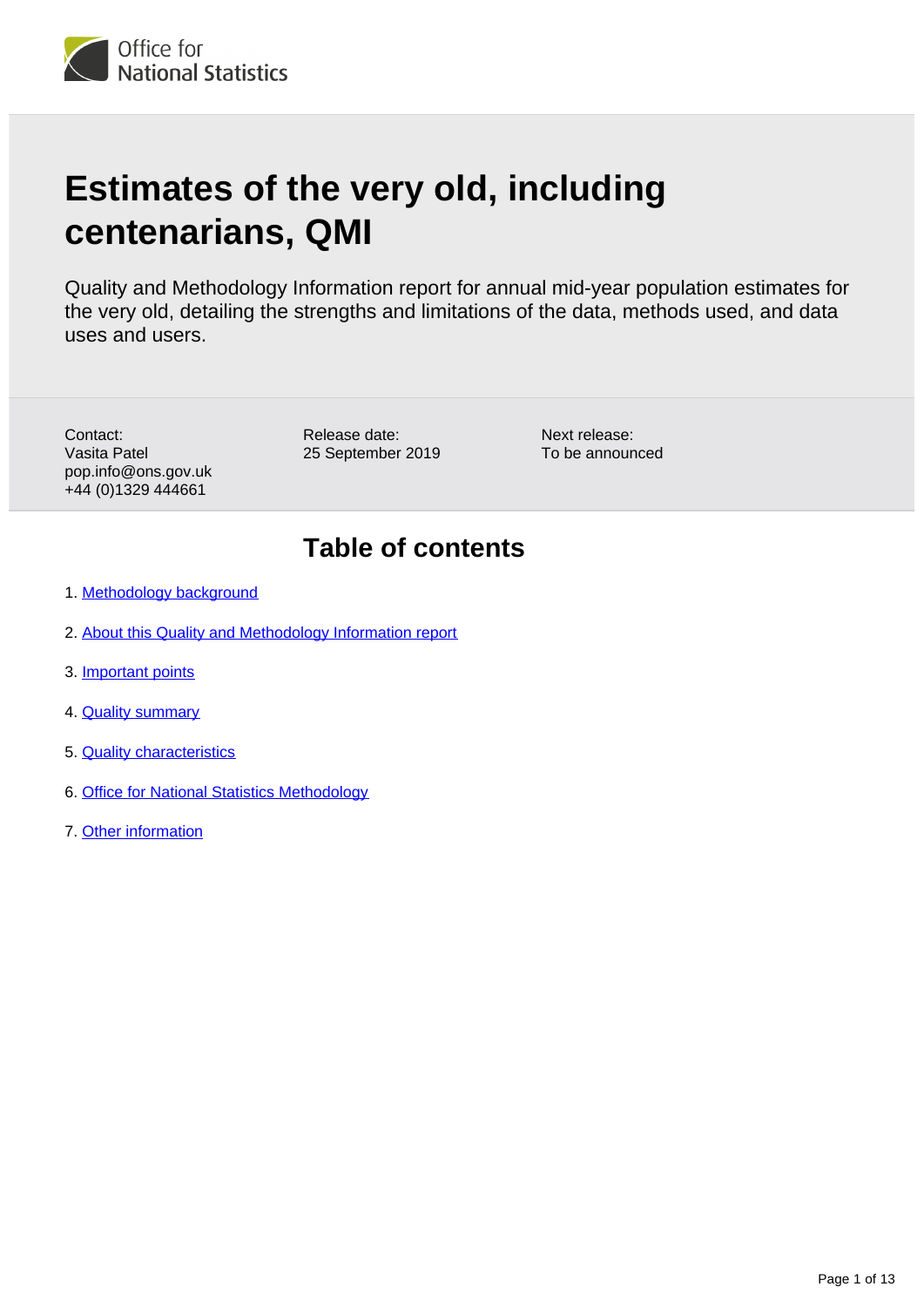

# **Estimates of the very old, including centenarians, QMI**

Quality and Methodology Information report for annual mid-year population estimates for the very old, detailing the strengths and limitations of the data, methods used, and data uses and users.

Contact: Vasita Patel pop.info@ons.gov.uk +44 (0)1329 444661

Release date: 25 September 2019

Next release: To be announced

## **Table of contents**

- 1. [Methodology background](#page-1-0)
- 2. [About this Quality and Methodology Information report](#page-1-1)
- 3. [Important points](#page-1-2)
- 4. **[Quality summary](#page-2-0)**
- 5. [Quality characteristics](#page-4-0)
- 6. [Office for National Statistics Methodology](#page-10-0)
- 7. [Other information](#page-12-0)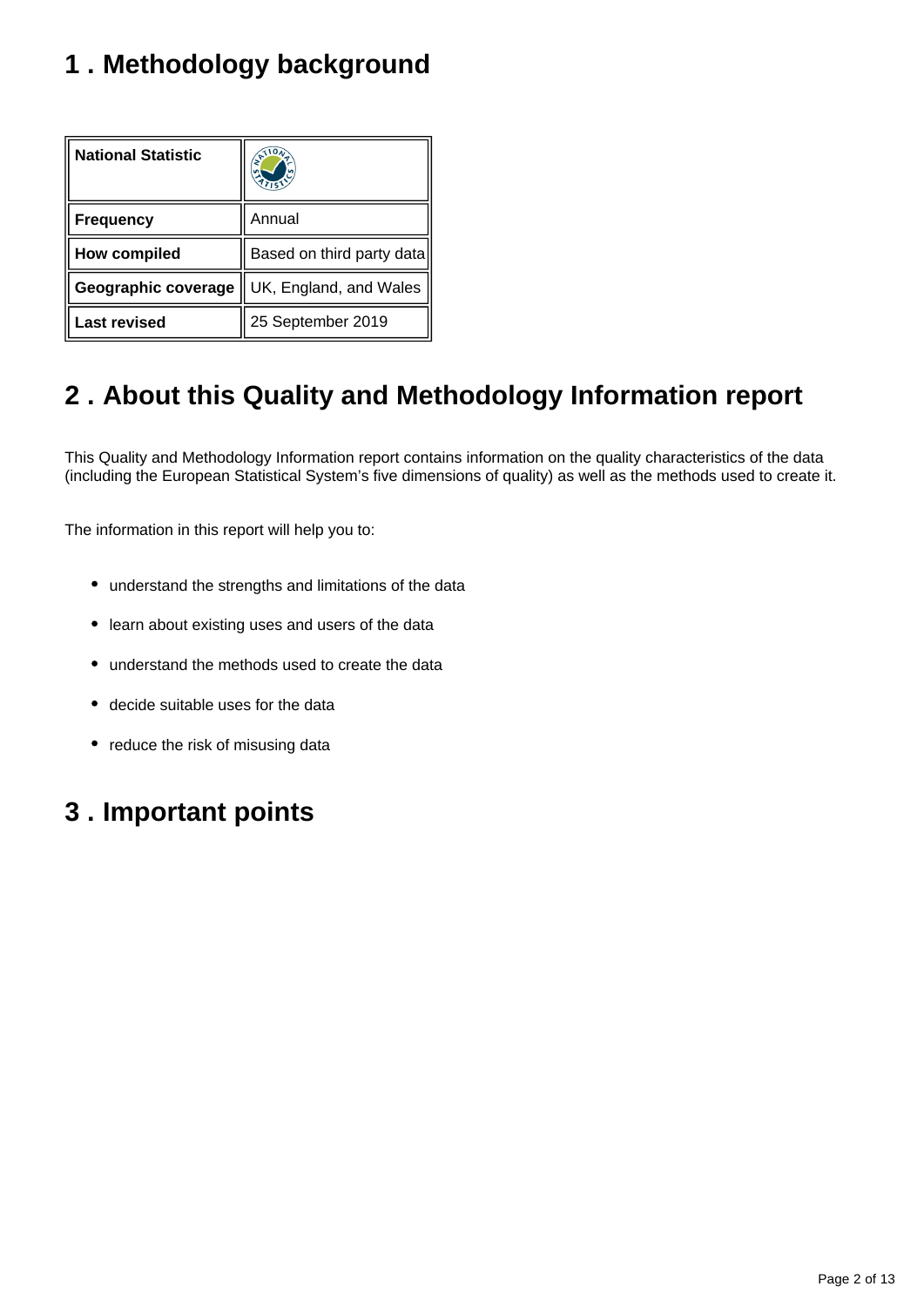# <span id="page-1-0"></span>**1 . Methodology background**

| <b>National Statistic</b> |                           |
|---------------------------|---------------------------|
| <b>Frequency</b>          | Annual                    |
| <b>How compiled</b>       | Based on third party data |
| Geographic coverage       | UK, England, and Wales    |
| <b>Last revised</b>       | 25 September 2019         |

## <span id="page-1-1"></span>**2 . About this Quality and Methodology Information report**

This Quality and Methodology Information report contains information on the quality characteristics of the data (including the European Statistical System's five dimensions of quality) as well as the methods used to create it.

The information in this report will help you to:

- understand the strengths and limitations of the data
- learn about existing uses and users of the data
- understand the methods used to create the data
- decide suitable uses for the data
- reduce the risk of misusing data

## <span id="page-1-2"></span>**3 . Important points**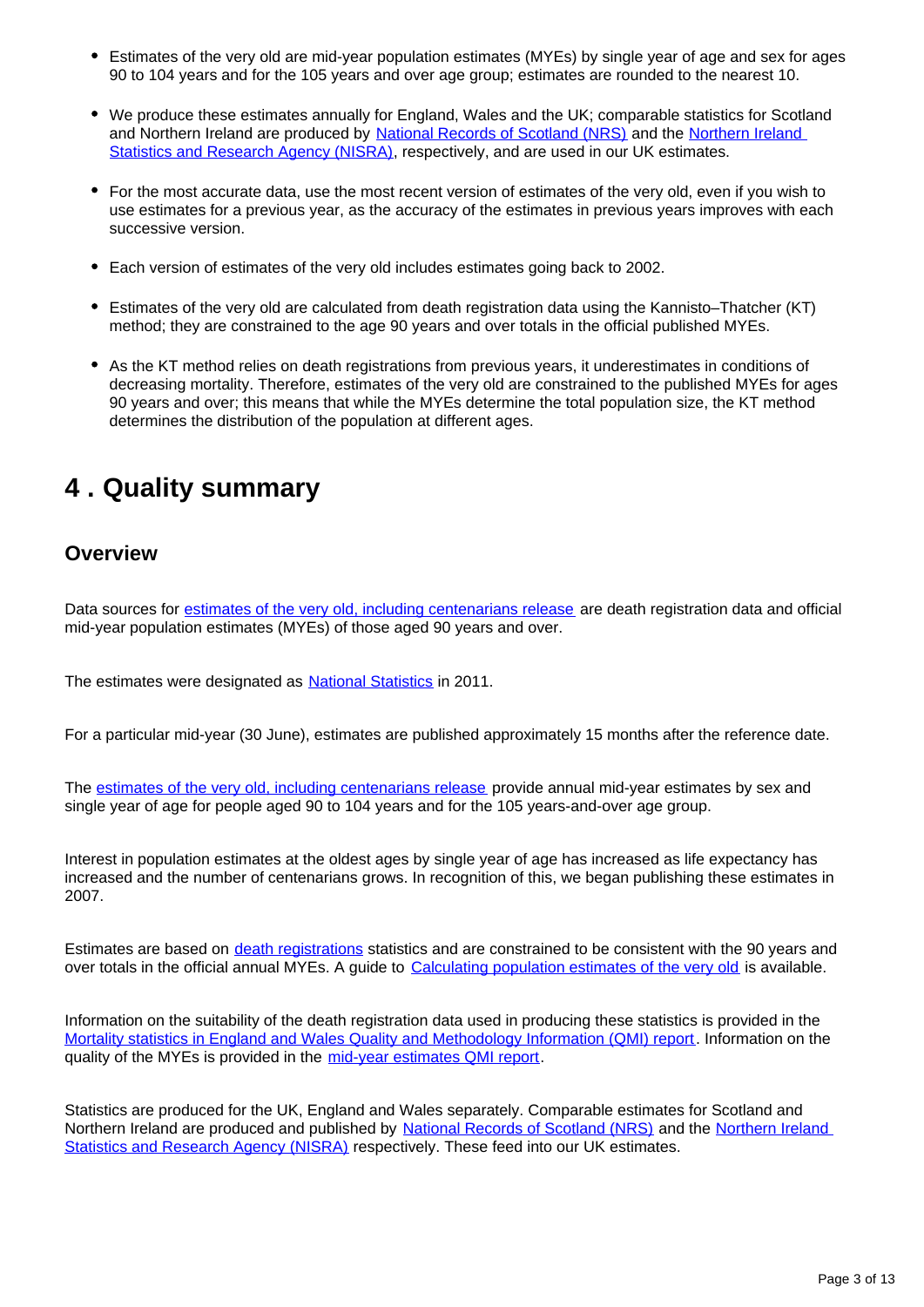- Estimates of the very old are mid-year population estimates (MYEs) by single year of age and sex for ages 90 to 104 years and for the 105 years and over age group; estimates are rounded to the nearest 10.
- We produce these estimates annually for England, Wales and the UK; comparable statistics for Scotland and Northern Ireland are produced by [National Records of Scotland \(NRS\)](https://www.nrscotland.gov.uk/statistics-and-data) and the [Northern Ireland](https://www.nisra.gov.uk/)  [Statistics and Research Agency \(NISRA\),](https://www.nisra.gov.uk/) respectively, and are used in our UK estimates.
- For the most accurate data, use the most recent version of estimates of the very old, even if you wish to use estimates for a previous year, as the accuracy of the estimates in previous years improves with each successive version.
- Each version of estimates of the very old includes estimates going back to 2002.
- Estimates of the very old are calculated from death registration data using the Kannisto–Thatcher (KT) method; they are constrained to the age 90 years and over totals in the official published MYEs.
- As the KT method relies on death registrations from previous years, it underestimates in conditions of decreasing mortality. Therefore, estimates of the very old are constrained to the published MYEs for ages 90 years and over; this means that while the MYEs determine the total population size, the KT method determines the distribution of the population at different ages.

## <span id="page-2-0"></span>**4 . Quality summary**

### **Overview**

Data sources for [estimates of the very old, including centenarians release](https://www.ons.gov.uk/peoplepopulationandcommunity/birthsdeathsandmarriages/ageing/bulletins/estimatesoftheveryoldincludingcentenarians/previousReleases) are death registration data and official mid-year population estimates (MYEs) of those aged 90 years and over.

The estimates were designated as **[National Statistics](https://www.statisticsauthority.gov.uk/about-the-authority/uk-statistical-system/types-of-official-statistics/)** in 2011.

For a particular mid-year (30 June), estimates are published approximately 15 months after the reference date.

The [estimates of the very old, including centenarians release](http://www.ons.gov.uk/ons/rel/mortality-ageing/estimates-of-the-very-old--including-centenarians-/index.html) provide annual mid-year estimates by sex and single year of age for people aged 90 to 104 years and for the 105 years-and-over age group.

Interest in population estimates at the oldest ages by single year of age has increased as life expectancy has increased and the number of centenarians grows. In recognition of this, we began publishing these estimates in 2007.

Estimates are based on [death registrations](https://www.ons.gov.uk/peoplepopulationandcommunity/birthsdeathsandmarriages/deaths/bulletins/deathsregisteredinenglandandwalesseriesdr/previousReleases) statistics and are constrained to be consistent with the 90 years and over totals in the official annual MYEs. A guide to [Calculating population estimates of the very old](https://www.ons.gov.uk/peoplepopulationandcommunity/populationandmigration/populationestimates/methodologies/calculatingpopulationestimatesoftheveryold) is available.

Information on the suitability of the death registration data used in producing these statistics is provided in the [Mortality statistics in England and Wales Quality and Methodology Information \(QMI\) report.](https://www.ons.gov.uk/peoplepopulationandcommunity/birthsdeathsandmarriages/deaths/methodologies/mortalitystatisticsinenglandandwalesqmi) Information on the quality of the MYEs is provided in the [mid-year estimates QMI report](https://www.ons.gov.uk/peoplepopulationandcommunity/populationandmigration/populationestimates/qmis/annualmidyearpopulationestimatesqmi).

Statistics are produced for the UK, England and Wales separately. Comparable estimates for Scotland and Northern Ireland are produced and published by [National Records of Scotland \(NRS\)](https://www.nrscotland.gov.uk/statistics-and-data/statistics/statistics-by-theme/population/population-estimates/centenarians-population-estimates) and the Northern Ireland [Statistics and Research Agency \(NISRA\)](https://www.nisra.gov.uk/statistics/population/estimates-population-aged-85-and-over) respectively. These feed into our UK estimates.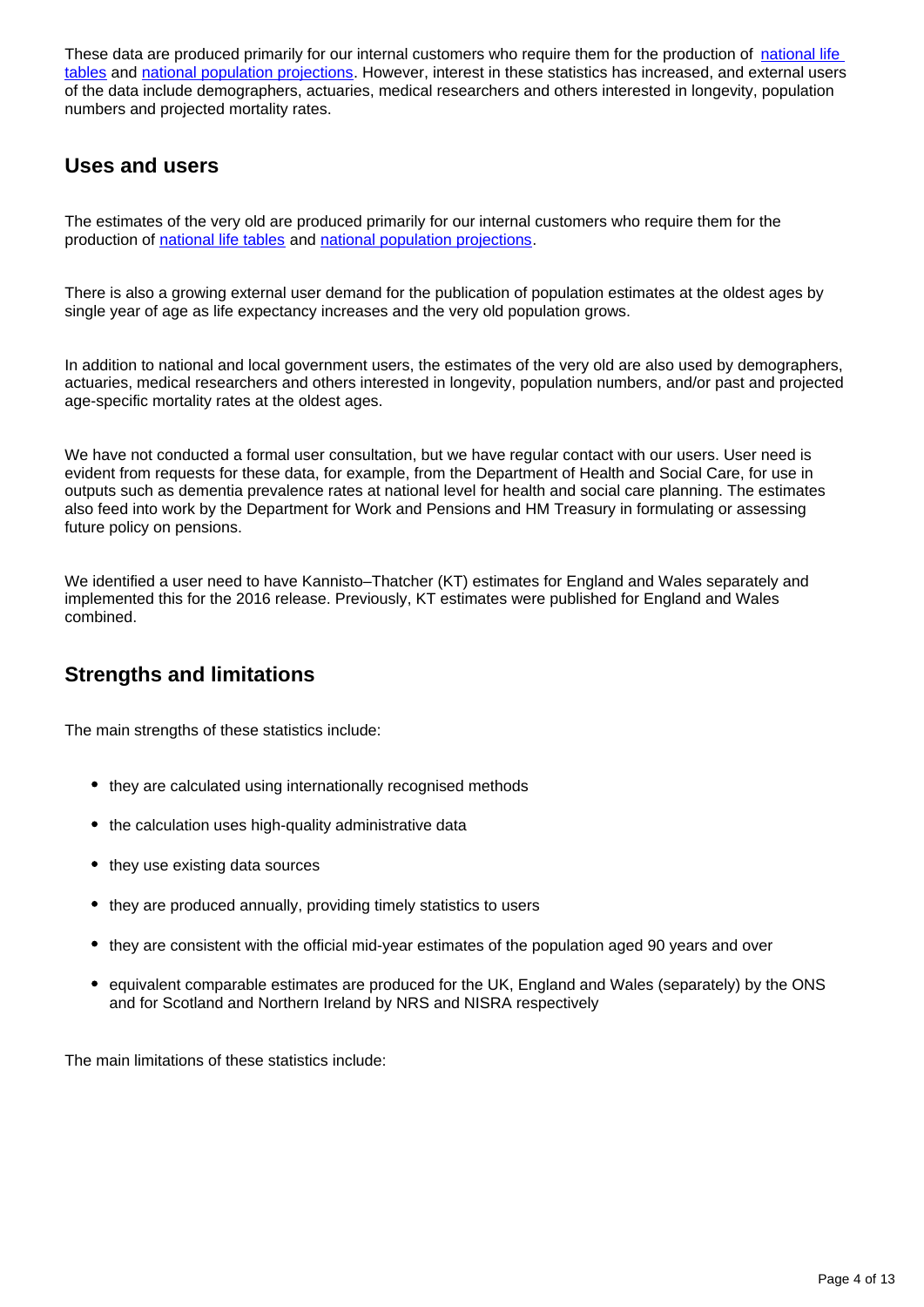These data are produced primarily for our internal customers who require them for the production of national life [tables](https://www.ons.gov.uk/peoplepopulationandcommunity/birthsdeathsandmarriages/lifeexpectancies/bulletins/nationallifetablesunitedkingdom/previousReleases) and [national population projections](https://www.ons.gov.uk/peoplepopulationandcommunity/populationandmigration/populationprojections/bulletins/nationalpopulationprojections/previousReleases). However, interest in these statistics has increased, and external users of the data include demographers, actuaries, medical researchers and others interested in longevity, population numbers and projected mortality rates.

## **Uses and users**

The estimates of the very old are produced primarily for our internal customers who require them for the production of [national life tables](https://www.ons.gov.uk/peoplepopulationandcommunity/birthsdeathsandmarriages/lifeexpectancies/bulletins/nationallifetablesunitedkingdom/previousReleases) and [national population projections](https://www.ons.gov.uk/peoplepopulationandcommunity/populationandmigration/populationprojections/bulletins/nationalpopulationprojections/previousReleases).

There is also a growing external user demand for the publication of population estimates at the oldest ages by single year of age as life expectancy increases and the very old population grows.

In addition to national and local government users, the estimates of the very old are also used by demographers, actuaries, medical researchers and others interested in longevity, population numbers, and/or past and projected age-specific mortality rates at the oldest ages.

We have not conducted a formal user consultation, but we have regular contact with our users. User need is evident from requests for these data, for example, from the Department of Health and Social Care, for use in outputs such as dementia prevalence rates at national level for health and social care planning. The estimates also feed into work by the Department for Work and Pensions and HM Treasury in formulating or assessing future policy on pensions.

We identified a user need to have Kannisto–Thatcher (KT) estimates for England and Wales separately and implemented this for the 2016 release. Previously, KT estimates were published for England and Wales combined.

## **Strengths and limitations**

The main strengths of these statistics include:

- they are calculated using internationally recognised methods
- the calculation uses high-quality administrative data
- they use existing data sources
- they are produced annually, providing timely statistics to users
- they are consistent with the official mid-year estimates of the population aged 90 years and over
- equivalent comparable estimates are produced for the UK, England and Wales (separately) by the ONS and for Scotland and Northern Ireland by NRS and NISRA respectively

The main limitations of these statistics include: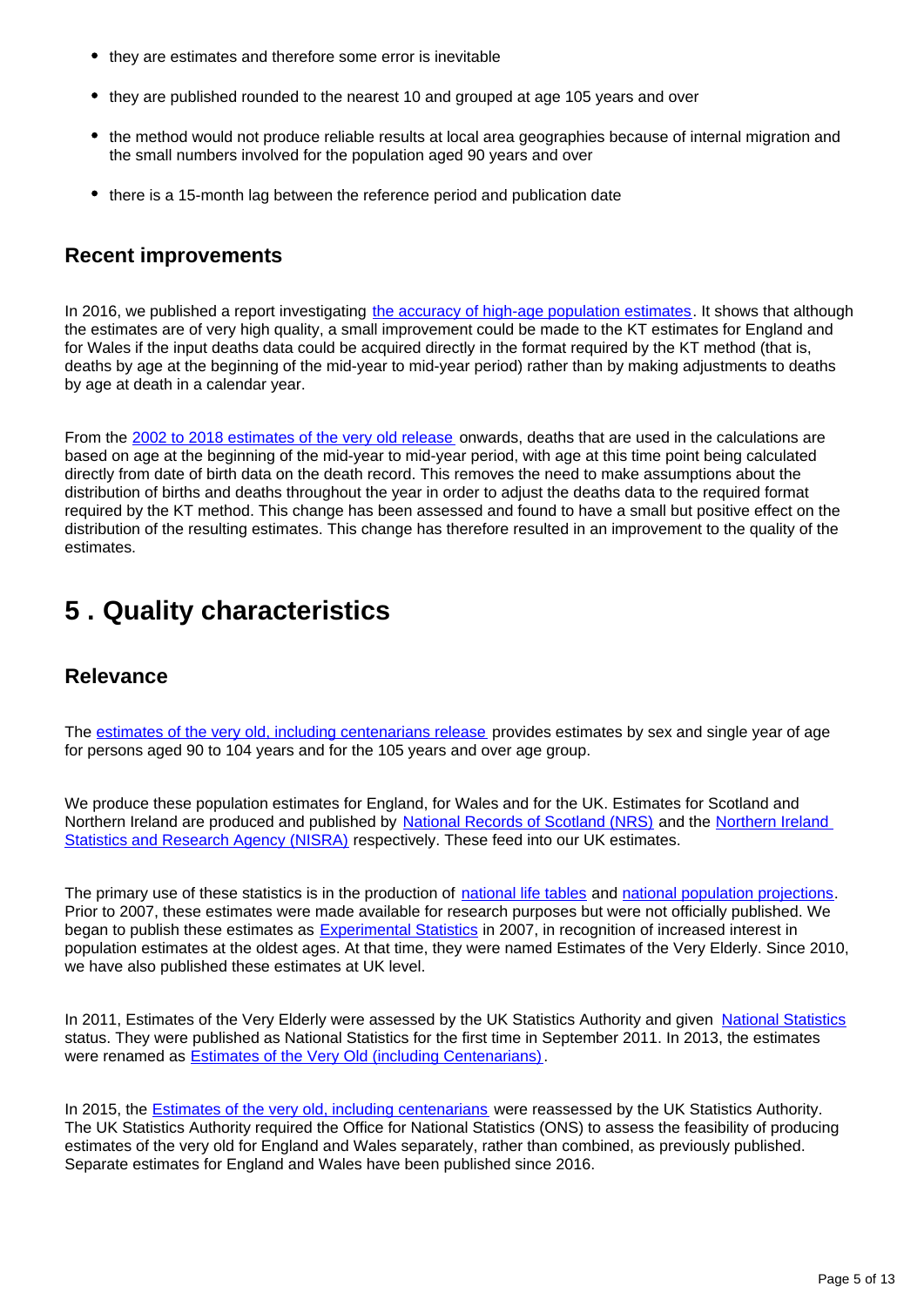- they are estimates and therefore some error is inevitable
- they are published rounded to the nearest 10 and grouped at age 105 years and over
- the method would not produce reliable results at local area geographies because of internal migration and the small numbers involved for the population aged 90 years and over
- there is a 15-month lag between the reference period and publication date

### **Recent improvements**

In 2016, we published a report investigating [the accuracy of high-age population estimates](https://www.ons.gov.uk/peoplepopulationandcommunity/birthsdeathsandmarriages/ageing/methodologies/accuracyofofficialhighagepopulationestimatesinenglandandwalesanevaluation). It shows that although the estimates are of very high quality, a small improvement could be made to the KT estimates for England and for Wales if the input deaths data could be acquired directly in the format required by the KT method (that is, deaths by age at the beginning of the mid-year to mid-year period) rather than by making adjustments to deaths by age at death in a calendar year.

From the [2002 to 2018 estimates of the very old release](https://www.ons.gov.uk/peoplepopulationandcommunity/birthsdeathsandmarriages/ageing/bulletins/estimatesoftheveryoldincludingcentenarians/2002to2018) onwards, deaths that are used in the calculations are based on age at the beginning of the mid-year to mid-year period, with age at this time point being calculated directly from date of birth data on the death record. This removes the need to make assumptions about the distribution of births and deaths throughout the year in order to adjust the deaths data to the required format required by the KT method. This change has been assessed and found to have a small but positive effect on the distribution of the resulting estimates. This change has therefore resulted in an improvement to the quality of the estimates.

## <span id="page-4-0"></span>**5 . Quality characteristics**

### **Relevance**

The [estimates of the very old, including centenarians release](https://www.ons.gov.uk/peoplepopulationandcommunity/birthsdeathsandmarriages/ageing/bulletins/estimatesoftheveryoldincludingcentenarians/previousReleases) provides estimates by sex and single year of age for persons aged 90 to 104 years and for the 105 years and over age group.

We produce these population estimates for England, for Wales and for the UK. Estimates for Scotland and Northern Ireland are produced and published by [National Records of Scotland \(NRS\)](https://www.nrscotland.gov.uk/statistics-and-data/statistics/statistics-by-theme/population/population-estimates/centenarians-population-estimates) and the Northern Ireland [Statistics and Research Agency \(NISRA\)](https://www.nisra.gov.uk/statistics/population/estimates-population-aged-85-and-over) respectively. These feed into our UK estimates.

The primary use of these statistics is in the production of [national life tables](https://www.ons.gov.uk/peoplepopulationandcommunity/birthsdeathsandmarriages/lifeexpectancies/bulletins/nationallifetablesunitedkingdom/previousReleases) and [national population projections.](https://www.ons.gov.uk/peoplepopulationandcommunity/populationandmigration/populationprojections/bulletins/nationalpopulationprojections/previousReleases) Prior to 2007, these estimates were made available for research purposes but were not officially published. We began to publish these estimates as **[Experimental Statistics](https://www.ons.gov.uk/methodology/methodologytopicsandstatisticalconcepts/guidetoexperimentalstatistics)** in 2007, in recognition of increased interest in population estimates at the oldest ages. At that time, they were named Estimates of the Very Elderly. Since 2010, we have also published these estimates at UK level.

In 2011, Estimates of the Very Elderly were assessed by the UK Statistics Authority and given [National Statistics](https://www.statisticsauthority.gov.uk/about-the-authority/uk-statistical-system/types-of-official-statistics/) status. They were published as National Statistics for the first time in September 2011. In 2013, the estimates were renamed as [Estimates of the Very Old \(including Centenarians\)](https://www.ons.gov.uk/peoplepopulationandcommunity/birthsdeathsandmarriages/ageing/bulletins/estimatesoftheveryoldincludingcentenarians/2014-09-25).

In 2015, the **Estimates of the very old, including centenarians** were reassessed by the UK Statistics Authority. The UK Statistics Authority required the Office for National Statistics (ONS) to assess the feasibility of producing estimates of the very old for England and Wales separately, rather than combined, as previously published. Separate estimates for England and Wales have been published since 2016.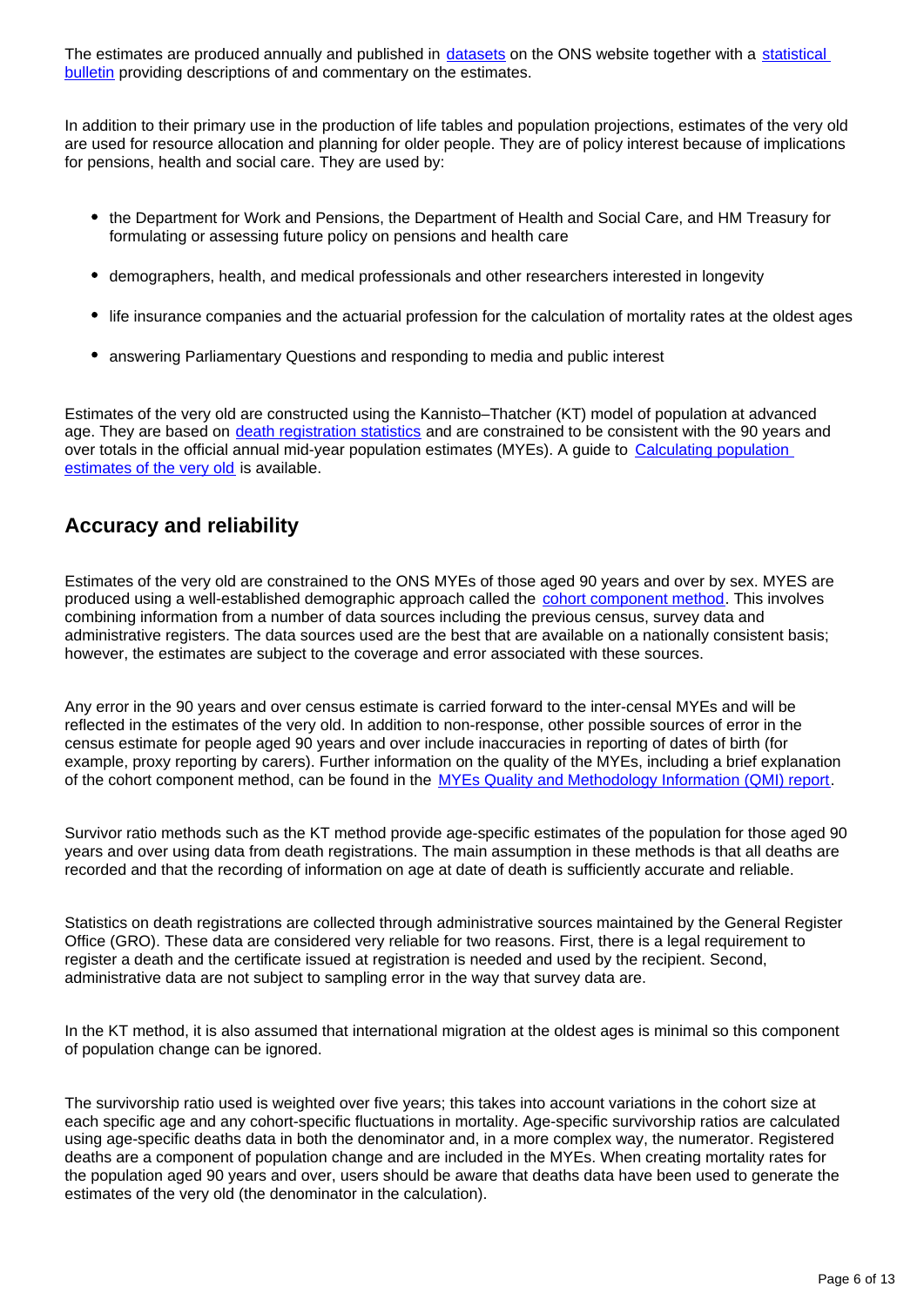The estimates are produced annually and published in [datasets](https://www.ons.gov.uk/peoplepopulationandcommunity/birthsdeathsandmarriages/ageing/bulletins/estimatesoftheveryoldincludingcentenarians/2002to2017/relateddata) on the ONS website together with a statistical **bulletin** providing descriptions of and commentary on the estimates.

In addition to their primary use in the production of life tables and population projections, estimates of the very old are used for resource allocation and planning for older people. They are of policy interest because of implications for pensions, health and social care. They are used by:

- the Department for Work and Pensions, the Department of Health and Social Care, and HM Treasury for formulating or assessing future policy on pensions and health care
- demographers, health, and medical professionals and other researchers interested in longevity
- life insurance companies and the actuarial profession for the calculation of mortality rates at the oldest ages
- answering Parliamentary Questions and responding to media and public interest

Estimates of the very old are constructed using the Kannisto–Thatcher (KT) model of population at advanced age. They are based on [death registration statistics](https://www.ons.gov.uk/peoplepopulationandcommunity/birthsdeathsandmarriages/deaths/bulletins/deathsregisteredinenglandandwalesseriesdr/previousReleases) and are constrained to be consistent with the 90 years and over totals in the official annual mid-year population estimates (MYEs). A guide to [Calculating population](http://www.ons.gov.uk/peoplepopulationandcommunity/populationandmigration/populationestimates/methodologies/calculatingpopulationestimatesoftheveryold)  [estimates of the very old](http://www.ons.gov.uk/peoplepopulationandcommunity/populationandmigration/populationestimates/methodologies/calculatingpopulationestimatesoftheveryold) is available.

## **Accuracy and reliability**

Estimates of the very old are constrained to the ONS MYEs of those aged 90 years and over by sex. MYES are produced using a well-established demographic approach called the [cohort component method](https://www.ons.gov.uk/peoplepopulationandcommunity/populationandmigration/populationestimates/methodologies/methodologyguideformid2015ukpopulationestimatesenglandandwalesjune2016#cohort-component-method). This involves combining information from a number of data sources including the previous census, survey data and administrative registers. The data sources used are the best that are available on a nationally consistent basis; however, the estimates are subject to the coverage and error associated with these sources.

Any error in the 90 years and over census estimate is carried forward to the inter-censal MYEs and will be reflected in the estimates of the very old. In addition to non-response, other possible sources of error in the census estimate for people aged 90 years and over include inaccuracies in reporting of dates of birth (for example, proxy reporting by carers). Further information on the quality of the MYEs, including a brief explanation of the cohort component method, can be found in the [MYEs Quality and Methodology Information \(QMI\) report](https://www.ons.gov.uk/peoplepopulationandcommunity/populationandmigration/populationestimates/qmis/annualmidyearpopulationestimatesqmi).

Survivor ratio methods such as the KT method provide age-specific estimates of the population for those aged 90 years and over using data from death registrations. The main assumption in these methods is that all deaths are recorded and that the recording of information on age at date of death is sufficiently accurate and reliable.

Statistics on death registrations are collected through administrative sources maintained by the General Register Office (GRO). These data are considered very reliable for two reasons. First, there is a legal requirement to register a death and the certificate issued at registration is needed and used by the recipient. Second, administrative data are not subject to sampling error in the way that survey data are.

In the KT method, it is also assumed that international migration at the oldest ages is minimal so this component of population change can be ignored.

The survivorship ratio used is weighted over five years; this takes into account variations in the cohort size at each specific age and any cohort-specific fluctuations in mortality. Age-specific survivorship ratios are calculated using age-specific deaths data in both the denominator and, in a more complex way, the numerator. Registered deaths are a component of population change and are included in the MYEs. When creating mortality rates for the population aged 90 years and over, users should be aware that deaths data have been used to generate the estimates of the very old (the denominator in the calculation).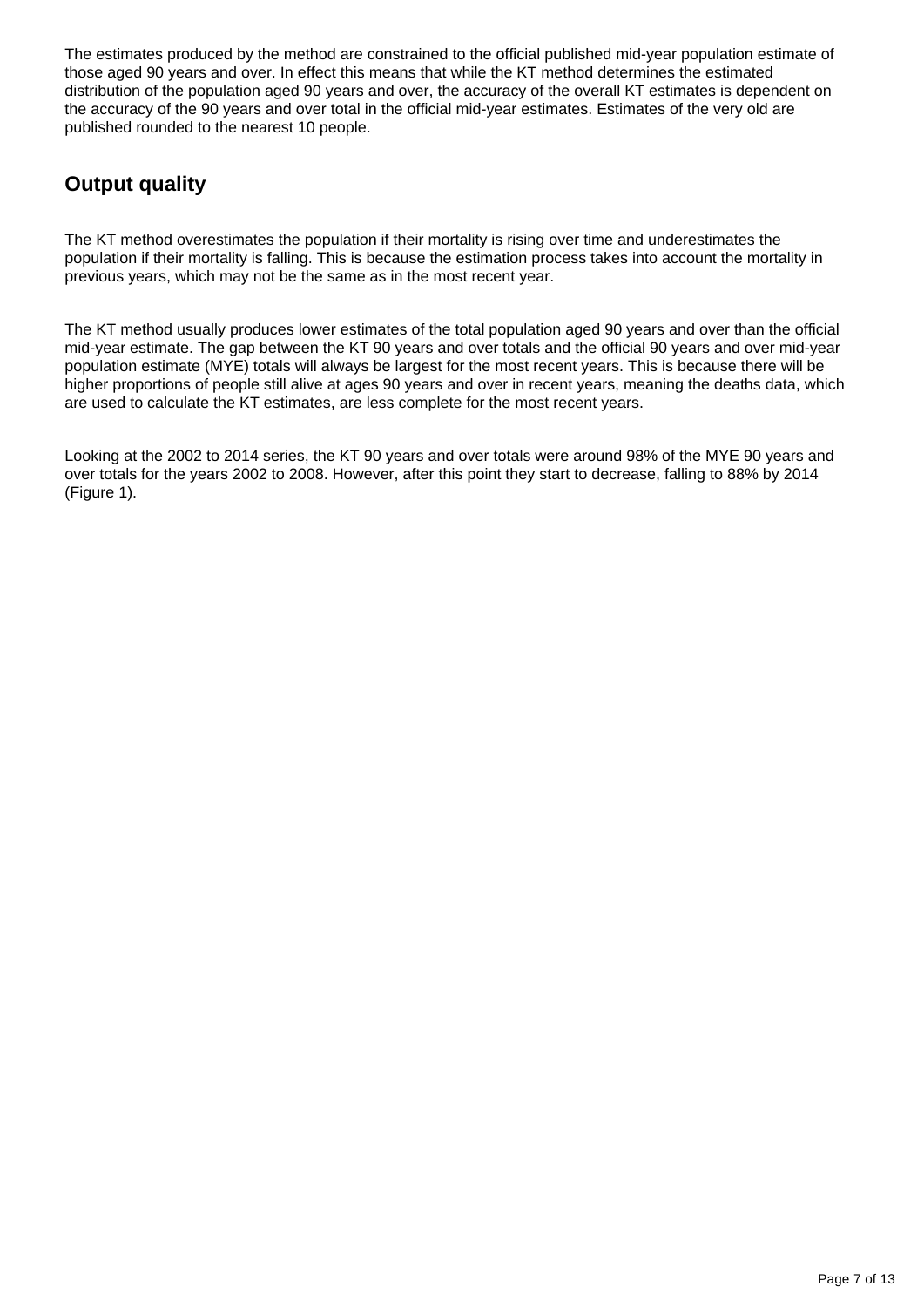The estimates produced by the method are constrained to the official published mid-year population estimate of those aged 90 years and over. In effect this means that while the KT method determines the estimated distribution of the population aged 90 years and over, the accuracy of the overall KT estimates is dependent on the accuracy of the 90 years and over total in the official mid-year estimates. Estimates of the very old are published rounded to the nearest 10 people.

## **Output quality**

The KT method overestimates the population if their mortality is rising over time and underestimates the population if their mortality is falling. This is because the estimation process takes into account the mortality in previous years, which may not be the same as in the most recent year.

The KT method usually produces lower estimates of the total population aged 90 years and over than the official mid-year estimate. The gap between the KT 90 years and over totals and the official 90 years and over mid-year population estimate (MYE) totals will always be largest for the most recent years. This is because there will be higher proportions of people still alive at ages 90 years and over in recent years, meaning the deaths data, which are used to calculate the KT estimates, are less complete for the most recent years.

Looking at the 2002 to 2014 series, the KT 90 years and over totals were around 98% of the MYE 90 years and over totals for the years 2002 to 2008. However, after this point they start to decrease, falling to 88% by 2014 (Figure 1).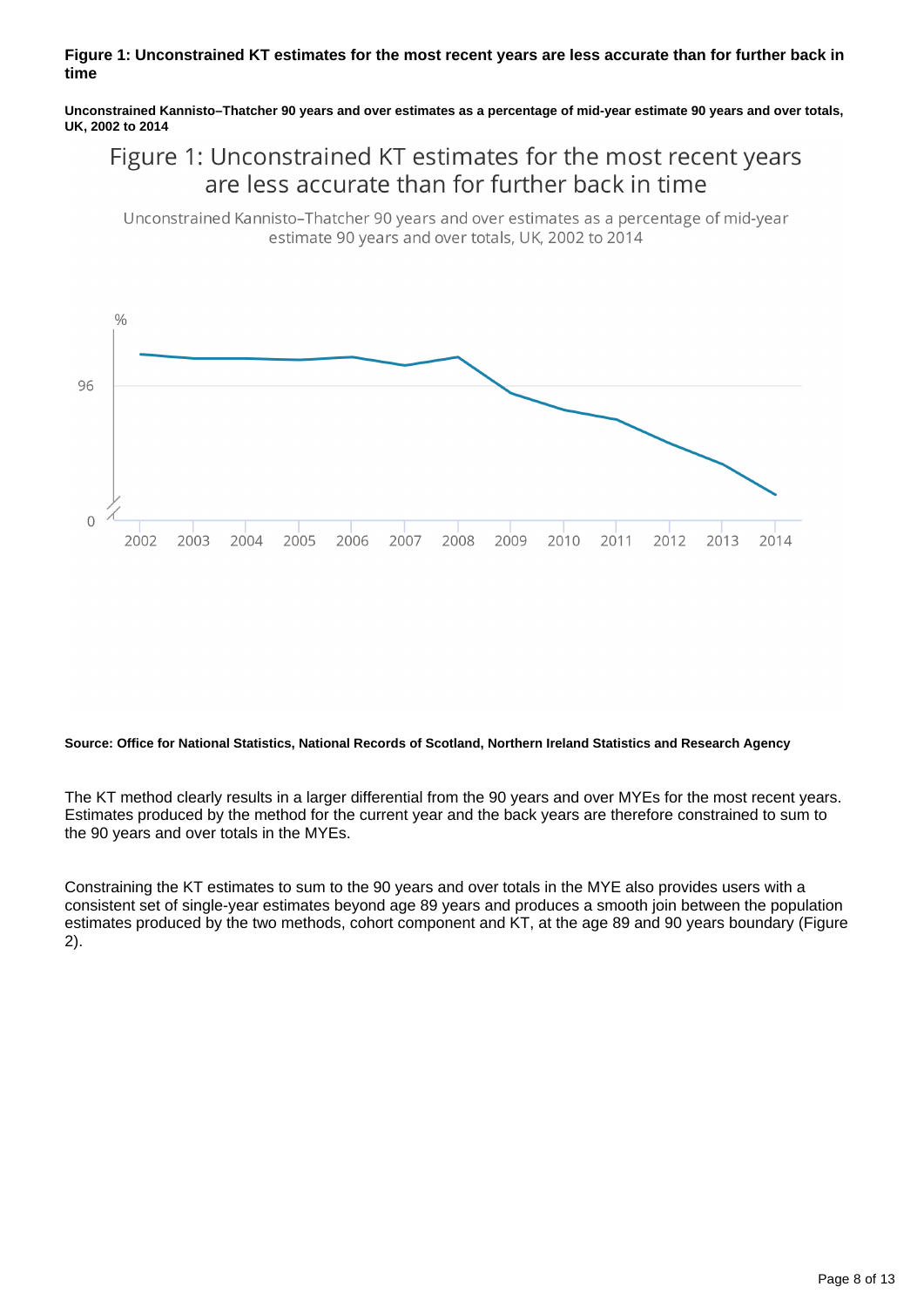#### **Figure 1: Unconstrained KT estimates for the most recent years are less accurate than for further back in time**

**Unconstrained Kannisto–Thatcher 90 years and over estimates as a percentage of mid-year estimate 90 years and over totals, UK, 2002 to 2014**

## Figure 1: Unconstrained KT estimates for the most recent years are less accurate than for further back in time

Unconstrained Kannisto-Thatcher 90 years and over estimates as a percentage of mid-year estimate 90 years and over totals, UK, 2002 to 2014



#### **Source: Office for National Statistics, National Records of Scotland, Northern Ireland Statistics and Research Agency**

The KT method clearly results in a larger differential from the 90 years and over MYEs for the most recent years. Estimates produced by the method for the current year and the back years are therefore constrained to sum to the 90 years and over totals in the MYEs.

Constraining the KT estimates to sum to the 90 years and over totals in the MYE also provides users with a consistent set of single-year estimates beyond age 89 years and produces a smooth join between the population estimates produced by the two methods, cohort component and KT, at the age 89 and 90 years boundary (Figure 2).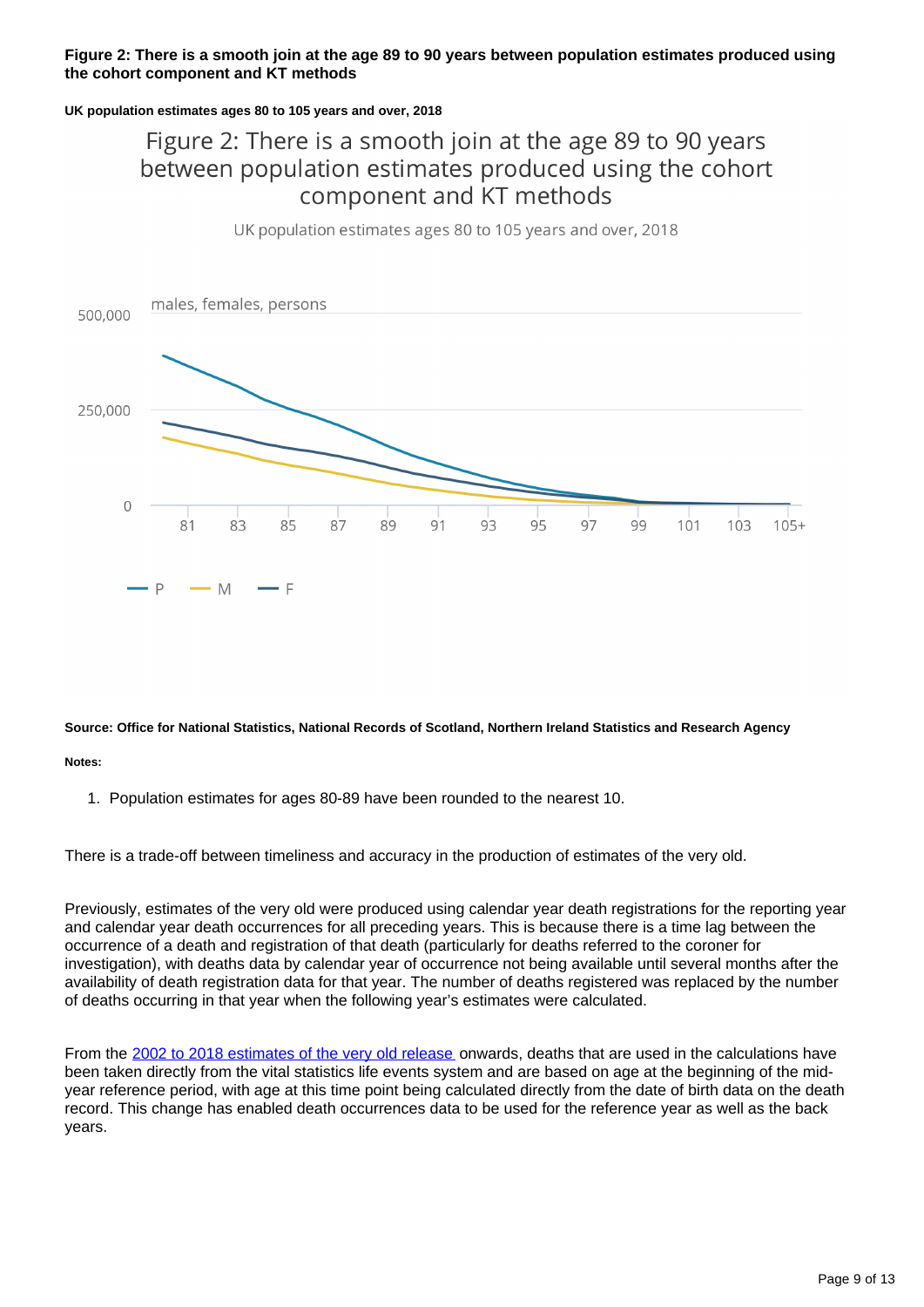#### **Figure 2: There is a smooth join at the age 89 to 90 years between population estimates produced using the cohort component and KT methods**

#### **UK population estimates ages 80 to 105 years and over, 2018**

## Figure 2: There is a smooth join at the age 89 to 90 years between population estimates produced using the cohort component and KT methods

UK population estimates ages 80 to 105 years and over, 2018



#### **Source: Office for National Statistics, National Records of Scotland, Northern Ireland Statistics and Research Agency**

**Notes:**

1. Population estimates for ages 80-89 have been rounded to the nearest 10.

There is a trade-off between timeliness and accuracy in the production of estimates of the very old.

Previously, estimates of the very old were produced using calendar year death registrations for the reporting year and calendar year death occurrences for all preceding years. This is because there is a time lag between the occurrence of a death and registration of that death (particularly for deaths referred to the coroner for investigation), with deaths data by calendar year of occurrence not being available until several months after the availability of death registration data for that year. The number of deaths registered was replaced by the number of deaths occurring in that year when the following year's estimates were calculated.

From the [2002 to 2018 estimates of the very old release](https://www.ons.gov.uk/peoplepopulationandcommunity/birthsdeathsandmarriages/ageing/bulletins/estimatesoftheveryoldincludingcentenarians/2002to2018) onwards, deaths that are used in the calculations have been taken directly from the vital statistics life events system and are based on age at the beginning of the midyear reference period, with age at this time point being calculated directly from the date of birth data on the death record. This change has enabled death occurrences data to be used for the reference year as well as the back years.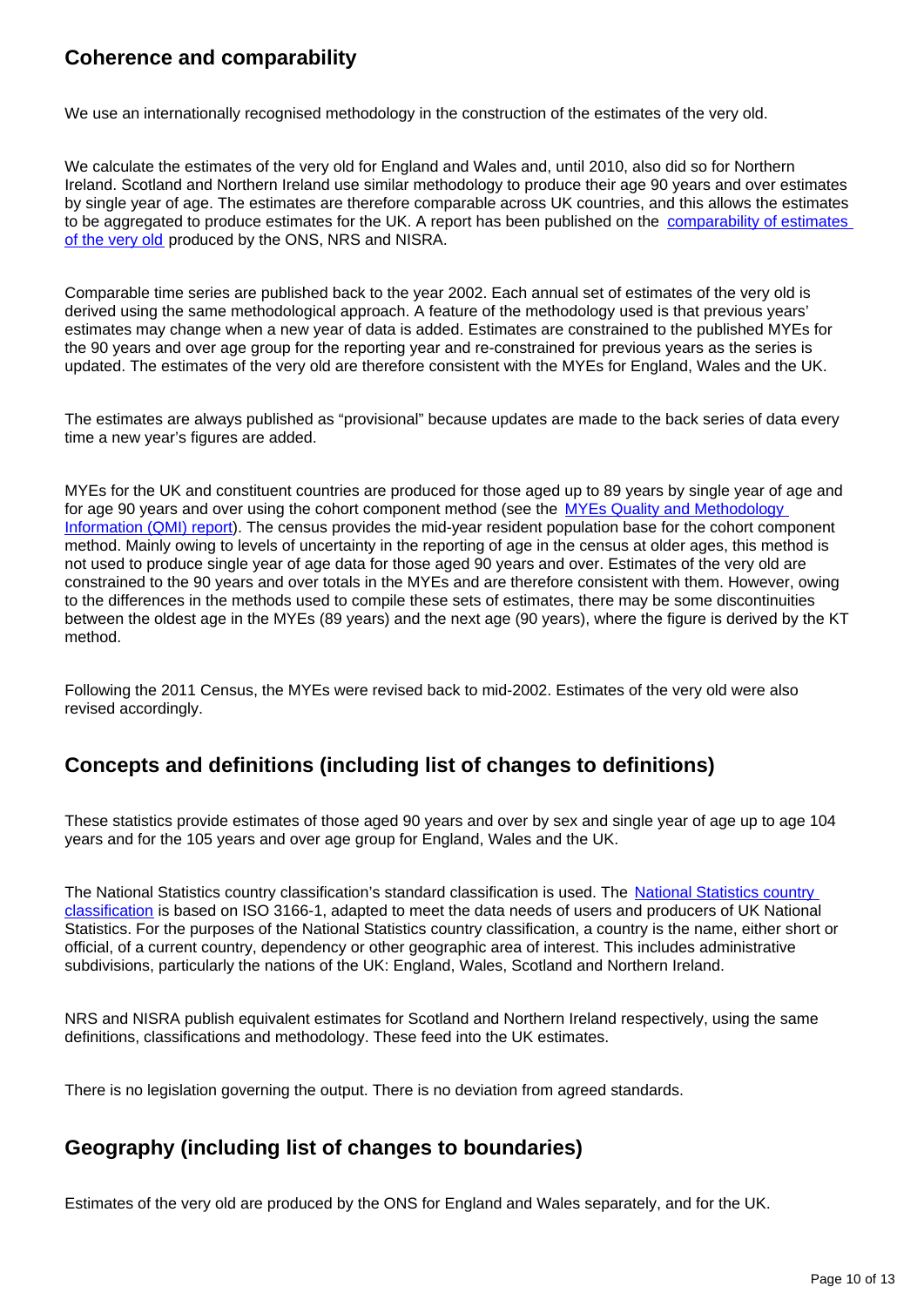## **Coherence and comparability**

We use an internationally recognised methodology in the construction of the estimates of the very old.

We calculate the estimates of the very old for England and Wales and, until 2010, also did so for Northern Ireland. Scotland and Northern Ireland use similar methodology to produce their age 90 years and over estimates by single year of age. The estimates are therefore comparable across UK countries, and this allows the estimates to be aggregated to produce estimates for the UK. A report has been published on the comparability of estimates [of the very old](https://www.ons.gov.uk/peoplepopulationandcommunity/birthsdeathsandmarriages/ageing/methodologies/comparisonpaper90andoversingleyearofageandsexpopulationestimatesproducedbyonsnrsandnisra) produced by the ONS, NRS and NISRA.

Comparable time series are published back to the year 2002. Each annual set of estimates of the very old is derived using the same methodological approach. A feature of the methodology used is that previous years' estimates may change when a new year of data is added. Estimates are constrained to the published MYEs for the 90 years and over age group for the reporting year and re-constrained for previous years as the series is updated. The estimates of the very old are therefore consistent with the MYEs for England, Wales and the UK.

The estimates are always published as "provisional" because updates are made to the back series of data every time a new year's figures are added.

MYEs for the UK and constituent countries are produced for those aged up to 89 years by single year of age and for age 90 years and over using the cohort component method (see the MYEs Quality and Methodology [Information \(QMI\) report](https://www.ons.gov.uk/peoplepopulationandcommunity/populationandmigration/populationestimates/methodologies/annualmidyearpopulationestimatesqmi)). The census provides the mid-year resident population base for the cohort component method. Mainly owing to levels of uncertainty in the reporting of age in the census at older ages, this method is not used to produce single year of age data for those aged 90 years and over. Estimates of the very old are constrained to the 90 years and over totals in the MYEs and are therefore consistent with them. However, owing to the differences in the methods used to compile these sets of estimates, there may be some discontinuities between the oldest age in the MYEs (89 years) and the next age (90 years), where the figure is derived by the KT method.

Following the 2011 Census, the MYEs were revised back to mid-2002. Estimates of the very old were also revised accordingly.

### **Concepts and definitions (including list of changes to definitions)**

These statistics provide estimates of those aged 90 years and over by sex and single year of age up to age 104 years and for the 105 years and over age group for England, Wales and the UK.

The National Statistics country classification's standard classification is used. The [National Statistics country](https://www.ons.gov.uk/methodology/classificationsandstandards/otherclassifications/nationalstatisticscountryclassification)  [classification](https://www.ons.gov.uk/methodology/classificationsandstandards/otherclassifications/nationalstatisticscountryclassification) is based on ISO 3166-1, adapted to meet the data needs of users and producers of UK National Statistics. For the purposes of the National Statistics country classification, a country is the name, either short or official, of a current country, dependency or other geographic area of interest. This includes administrative subdivisions, particularly the nations of the UK: England, Wales, Scotland and Northern Ireland.

NRS and NISRA publish equivalent estimates for Scotland and Northern Ireland respectively, using the same definitions, classifications and methodology. These feed into the UK estimates.

There is no legislation governing the output. There is no deviation from agreed standards.

## **Geography (including list of changes to boundaries)**

Estimates of the very old are produced by the ONS for England and Wales separately, and for the UK.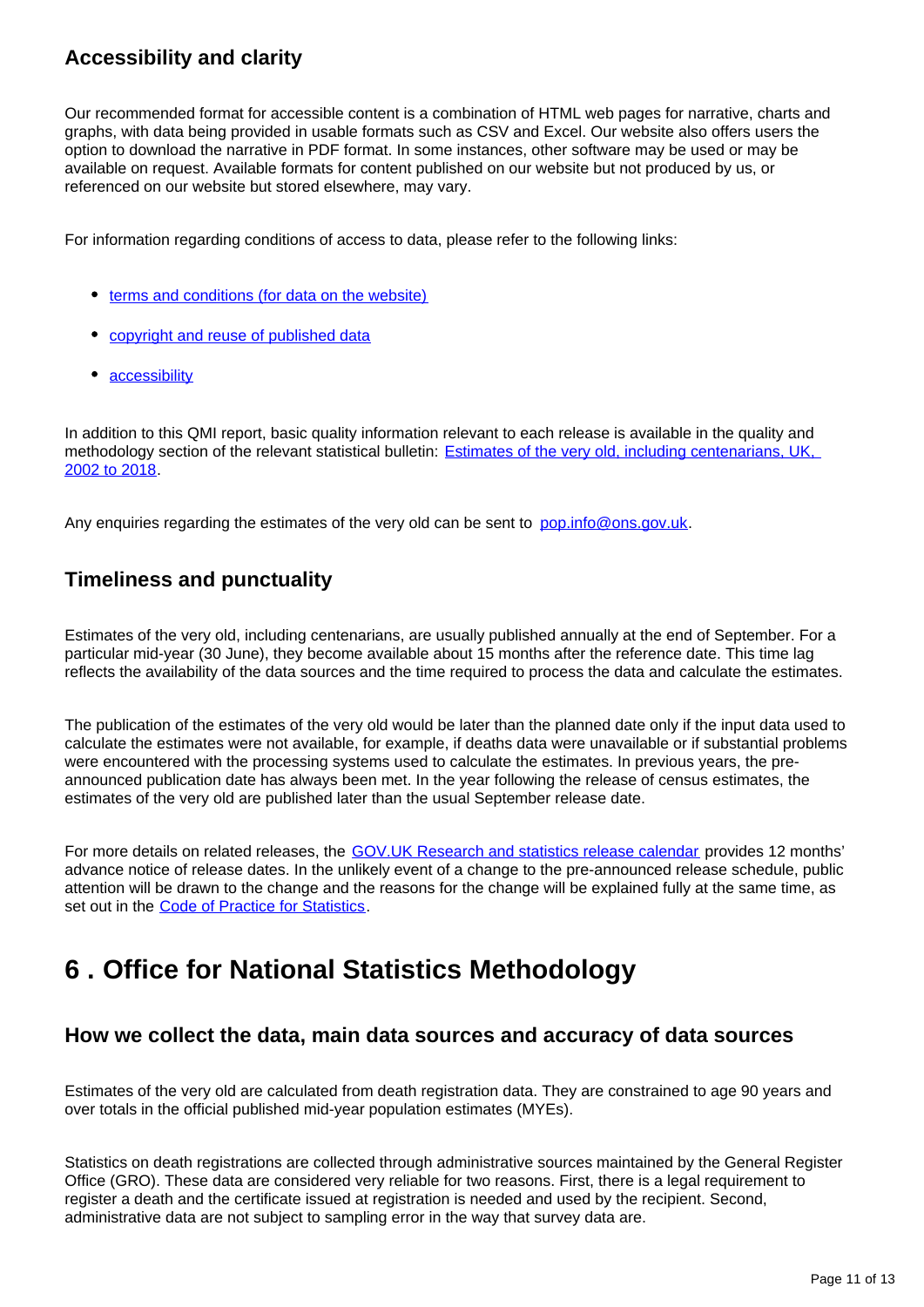## **Accessibility and clarity**

Our recommended format for accessible content is a combination of HTML web pages for narrative, charts and graphs, with data being provided in usable formats such as CSV and Excel. Our website also offers users the option to download the narrative in PDF format. In some instances, other software may be used or may be available on request. Available formats for content published on our website but not produced by us, or referenced on our website but stored elsewhere, may vary.

For information regarding conditions of access to data, please refer to the following links:

- [terms and conditions \(for data on the website\)](https://www.ons.gov.uk/help/termsandconditions)
- [copyright and reuse of published data](https://www.ons.gov.uk/census/2001censusandearlier/dataandproducts/copyrightandlicensing)
- [accessibility](https://www.ons.gov.uk/help/accessibility)

In addition to this QMI report, basic quality information relevant to each release is available in the quality and methodology section of the relevant statistical bulletin: Estimates of the very old, including centenarians, UK, [2002 to 2018](https://www.ons.gov.uk/peoplepopulationandcommunity/birthsdeathsandmarriages/ageing/bulletins/estimatesoftheveryoldincludingcentenarians/2002to2018#quality-and-methodology).

Any enquiries regarding the estimates of the very old can be sent to pop.info@ons.gov.uk.

## **Timeliness and punctuality**

Estimates of the very old, including centenarians, are usually published annually at the end of September. For a particular mid-year (30 June), they become available about 15 months after the reference date. This time lag reflects the availability of the data sources and the time required to process the data and calculate the estimates.

The publication of the estimates of the very old would be later than the planned date only if the input data used to calculate the estimates were not available, for example, if deaths data were unavailable or if substantial problems were encountered with the processing systems used to calculate the estimates. In previous years, the preannounced publication date has always been met. In the year following the release of census estimates, the estimates of the very old are published later than the usual September release date.

For more details on related releases, the [GOV.UK Research and statistics release calendar](https://www.gov.uk/government/statistics/announcements) provides 12 months' advance notice of release dates. In the unlikely event of a change to the pre-announced release schedule, public attention will be drawn to the change and the reasons for the change will be explained fully at the same time, as set out in the [Code of Practice for Statistics.](http://www.statisticsauthority.gov.uk/assessment/code-of-practice/index.html)

## <span id="page-10-0"></span>**6 . Office for National Statistics Methodology**

### **How we collect the data, main data sources and accuracy of data sources**

Estimates of the very old are calculated from death registration data. They are constrained to age 90 years and over totals in the official published mid-year population estimates (MYEs).

Statistics on death registrations are collected through administrative sources maintained by the General Register Office (GRO). These data are considered very reliable for two reasons. First, there is a legal requirement to register a death and the certificate issued at registration is needed and used by the recipient. Second, administrative data are not subject to sampling error in the way that survey data are.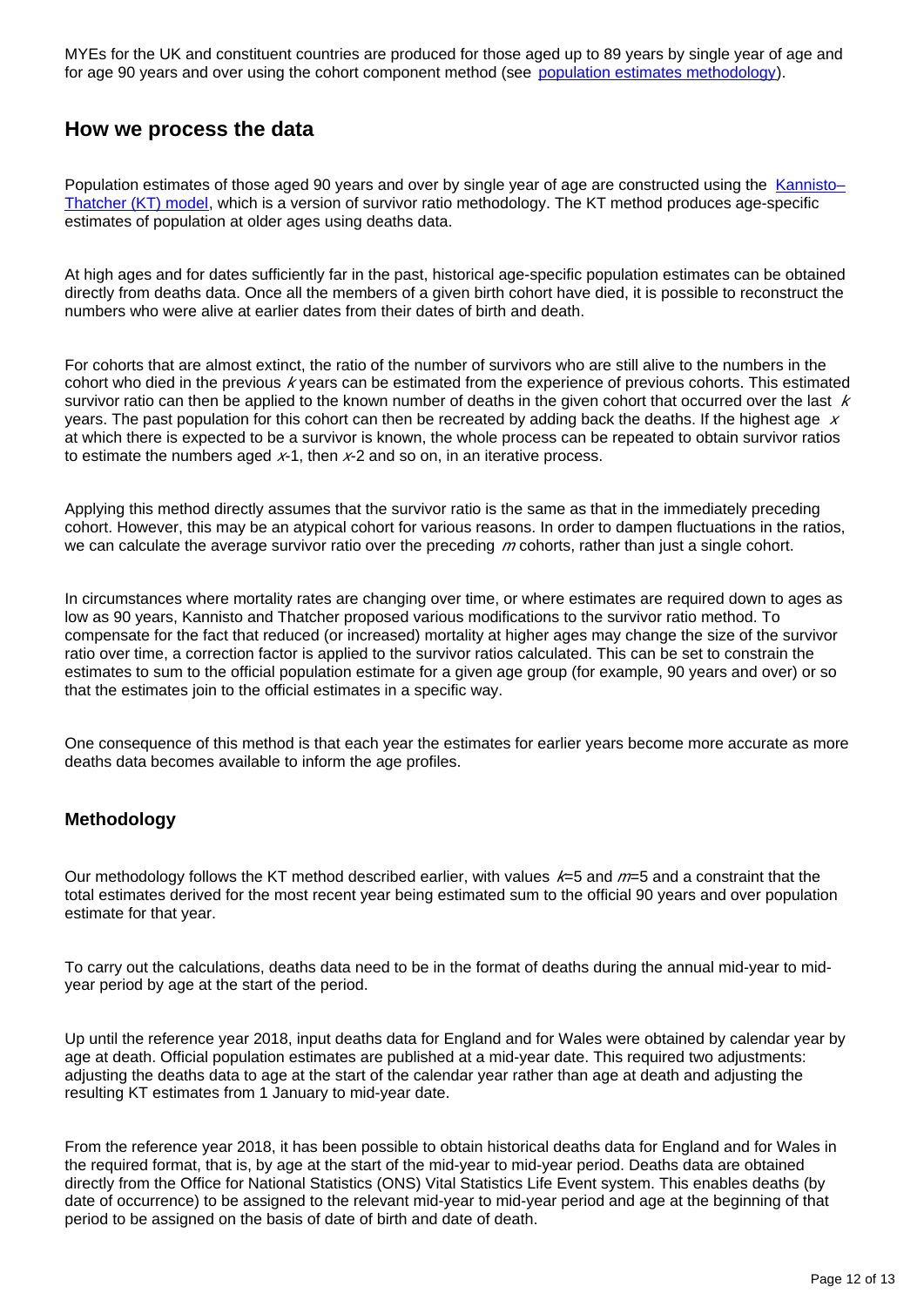MYEs for the UK and constituent countries are produced for those aged up to 89 years by single year of age and for age 90 years and over using the cohort component method (see [population estimates methodology](https://www.ons.gov.uk/peoplepopulationandcommunity/populationandmigration/populationestimates/methodologies/methodologyguideformid2015ukpopulationestimatesenglandandwalesjune2016)).

### **How we process the data**

Population estimates of those aged 90 years and over by single year of age are constructed using the Kannisto-[Thatcher \(KT\) model,](http://www.demographic-research.org/volumes/vol6/1/) which is a version of survivor ratio methodology. The KT method produces age-specific estimates of population at older ages using deaths data.

At high ages and for dates sufficiently far in the past, historical age-specific population estimates can be obtained directly from deaths data. Once all the members of a given birth cohort have died, it is possible to reconstruct the numbers who were alive at earlier dates from their dates of birth and death.

For cohorts that are almost extinct, the ratio of the number of survivors who are still alive to the numbers in the cohort who died in the previous  $k$  years can be estimated from the experience of previous cohorts. This estimated survivor ratio can then be applied to the known number of deaths in the given cohort that occurred over the last  $k$ years. The past population for this cohort can then be recreated by adding back the deaths. If the highest age  $x$ at which there is expected to be a survivor is known, the whole process can be repeated to obtain survivor ratios to estimate the numbers aged  $x-1$ , then  $x-2$  and so on, in an iterative process.

Applying this method directly assumes that the survivor ratio is the same as that in the immediately preceding cohort. However, this may be an atypical cohort for various reasons. In order to dampen fluctuations in the ratios, we can calculate the average survivor ratio over the preceding  $m$  cohorts, rather than just a single cohort.

In circumstances where mortality rates are changing over time, or where estimates are required down to ages as low as 90 years, Kannisto and Thatcher proposed various modifications to the survivor ratio method. To compensate for the fact that reduced (or increased) mortality at higher ages may change the size of the survivor ratio over time, a correction factor is applied to the survivor ratios calculated. This can be set to constrain the estimates to sum to the official population estimate for a given age group (for example, 90 years and over) or so that the estimates join to the official estimates in a specific way.

One consequence of this method is that each year the estimates for earlier years become more accurate as more deaths data becomes available to inform the age profiles.

#### **Methodology**

Our methodology follows the KT method described earlier, with values  $k=5$  and  $m=5$  and a constraint that the total estimates derived for the most recent year being estimated sum to the official 90 years and over population estimate for that year.

To carry out the calculations, deaths data need to be in the format of deaths during the annual mid-year to midyear period by age at the start of the period.

Up until the reference year 2018, input deaths data for England and for Wales were obtained by calendar year by age at death. Official population estimates are published at a mid-year date. This required two adjustments: adjusting the deaths data to age at the start of the calendar year rather than age at death and adjusting the resulting KT estimates from 1 January to mid-year date.

From the reference year 2018, it has been possible to obtain historical deaths data for England and for Wales in the required format, that is, by age at the start of the mid-year to mid-year period. Deaths data are obtained directly from the Office for National Statistics (ONS) Vital Statistics Life Event system. This enables deaths (by date of occurrence) to be assigned to the relevant mid-year to mid-year period and age at the beginning of that period to be assigned on the basis of date of birth and date of death.